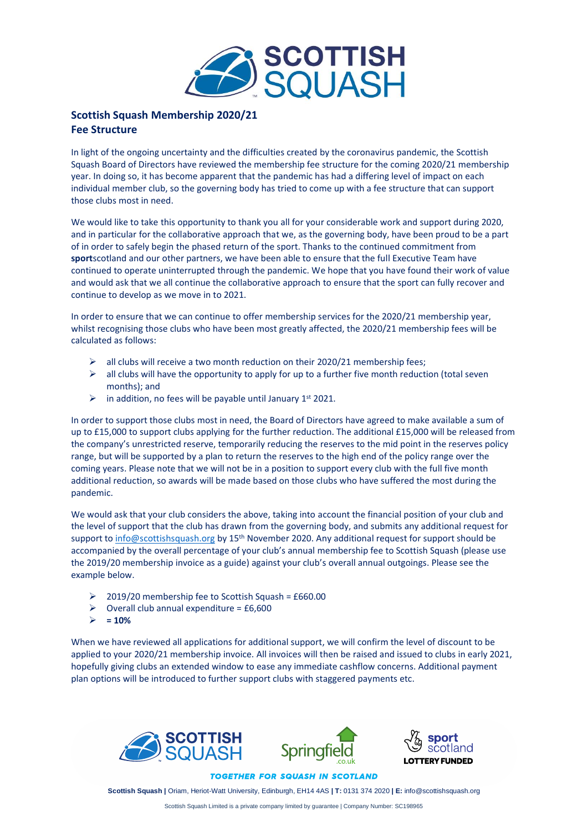

## **Scottish Squash Membership 2020/21 Fee Structure**

In light of the ongoing uncertainty and the difficulties created by the coronavirus pandemic, the Scottish Squash Board of Directors have reviewed the membership fee structure for the coming 2020/21 membership year. In doing so, it has become apparent that the pandemic has had a differing level of impact on each individual member club, so the governing body has tried to come up with a fee structure that can support those clubs most in need.

We would like to take this opportunity to thank you all for your considerable work and support during 2020, and in particular for the collaborative approach that we, as the governing body, have been proud to be a part of in order to safely begin the phased return of the sport. Thanks to the continued commitment from **sport**scotland and our other partners, we have been able to ensure that the full Executive Team have continued to operate uninterrupted through the pandemic. We hope that you have found their work of value and would ask that we all continue the collaborative approach to ensure that the sport can fully recover and continue to develop as we move in to 2021.

In order to ensure that we can continue to offer membership services for the 2020/21 membership year, whilst recognising those clubs who have been most greatly affected, the 2020/21 membership fees will be calculated as follows:

- $\triangleright$  all clubs will receive a two month reduction on their 2020/21 membership fees;
- $\triangleright$  all clubs will have the opportunity to apply for up to a further five month reduction (total seven months); and
- $\triangleright$  in addition, no fees will be payable until January 1<sup>st</sup> 2021.

In order to support those clubs most in need, the Board of Directors have agreed to make available a sum of up to £15,000 to support clubs applying for the further reduction. The additional £15,000 will be released from the company's unrestricted reserve, temporarily reducing the reserves to the mid point in the reserves policy range, but will be supported by a plan to return the reserves to the high end of the policy range over the coming years. Please note that we will not be in a position to support every club with the full five month additional reduction, so awards will be made based on those clubs who have suffered the most during the pandemic.

We would ask that your club considers the above, taking into account the financial position of your club and the level of support that the club has drawn from the governing body, and submits any additional request for support to [info@scottishsquash.org](mailto:info@scottishsquash.org) by 15<sup>th</sup> November 2020. Any additional request for support should be accompanied by the overall percentage of your club's annual membership fee to Scottish Squash (please use the 2019/20 membership invoice as a guide) against your club's overall annual outgoings. Please see the example below.

- $\geq$  2019/20 membership fee to Scottish Squash = £660.00
- $\geq$  Overall club annual expenditure = £6,600
- $> = 10%$

When we have reviewed all applications for additional support, we will confirm the level of discount to be applied to your 2020/21 membership invoice. All invoices will then be raised and issued to clubs in early 2021, hopefully giving clubs an extended window to ease any immediate cashflow concerns. Additional payment plan options will be introduced to further support clubs with staggered payments etc.





**TOGETHER FOR SQUASH IN SCOTLAND** 

**Scottish Squash |** Oriam, Heriot-Watt University, Edinburgh, EH14 4AS **| T:** 0131 374 2020 **| E:** info@scottishsquash.org

Scottish Squash Limited is a private company limited by guarantee | Company Number: SC198965